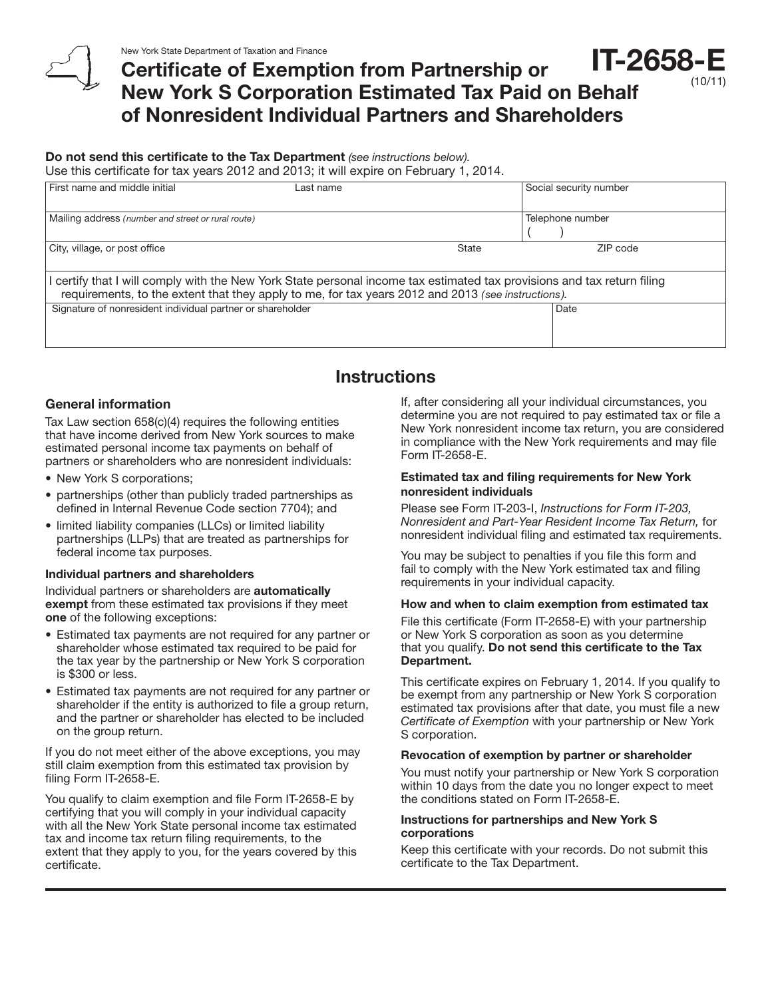## Certificate of Exemption from Partnership or New York S Corporation Estimated Tax Paid on Behalf of Nonresident Individual Partners and Shareholders IT-2658-E

## Do not send this certificate to the Tax Department *(see instructions below).*

Use this certificate for tax years 2012 and 2013; it will expire on February 1, 2014.

| First name and middle initial                                                                                                                                                                                               | ∟ast name |              | Social security number |
|-----------------------------------------------------------------------------------------------------------------------------------------------------------------------------------------------------------------------------|-----------|--------------|------------------------|
| Mailing address (number and street or rural route)                                                                                                                                                                          |           |              | Telephone number       |
| City, village, or post office                                                                                                                                                                                               |           | <b>State</b> | ZIP code               |
| certify that I will comply with the New York State personal income tax estimated tax provisions and tax return filing<br>requirements, to the extent that they apply to me, for tax years 2012 and 2013 (see instructions). |           |              |                        |
| Signature of nonresident individual partner or shareholder                                                                                                                                                                  |           |              | Date                   |
|                                                                                                                                                                                                                             |           |              |                        |

## **Instructions**

### General information

Tax Law section 658(c)(4) requires the following entities that have income derived from New York sources to make estimated personal income tax payments on behalf of partners or shareholders who are nonresident individuals:

- New York S corporations;
- partnerships (other than publicly traded partnerships as defined in Internal Revenue Code section 7704); and
- limited liability companies (LLCs) or limited liability partnerships (LLPs) that are treated as partnerships for federal income tax purposes.

#### Individual partners and shareholders

Individual partners or shareholders are automatically exempt from these estimated tax provisions if they meet one of the following exceptions:

- Estimated tax payments are not required for any partner or shareholder whose estimated tax required to be paid for the tax year by the partnership or New York S corporation is \$300 or less.
- Estimated tax payments are not required for any partner or shareholder if the entity is authorized to file a group return, and the partner or shareholder has elected to be included on the group return.

If you do not meet either of the above exceptions, you may still claim exemption from this estimated tax provision by filing Form IT-2658-E.

You qualify to claim exemption and file Form IT-2658-E by certifying that you will comply in your individual capacity with all the New York State personal income tax estimated tax and income tax return filing requirements, to the extent that they apply to you, for the years covered by this certificate.

If, after considering all your individual circumstances, you determine you are not required to pay estimated tax or file a New York nonresident income tax return, you are considered in compliance with the New York requirements and may file Form IT-2658-E.

### Estimated tax and filing requirements for New York nonresident individuals

Please see Form IT-203-I, *Instructions for Form IT-203, Nonresident and Part-Year Resident Income Tax Return,* for nonresident individual filing and estimated tax requirements.

You may be subject to penalties if you file this form and fail to comply with the New York estimated tax and filing requirements in your individual capacity.

#### How and when to claim exemption from estimated tax

File this certificate (Form IT-2658-E) with your partnership or New York S corporation as soon as you determine that you qualify. Do not send this certificate to the Tax Department.

This certificate expires on February 1, 2014. If you qualify to be exempt from any partnership or New York S corporation estimated tax provisions after that date, you must file a new *Certificate of Exemption* with your partnership or New York S corporation.

#### Revocation of exemption by partner or shareholder

You must notify your partnership or New York S corporation within 10 days from the date you no longer expect to meet the conditions stated on Form IT-2658-E.

#### Instructions for partnerships and New York S corporations

Keep this certificate with your records. Do not submit this certificate to the Tax Department.

(10/11)